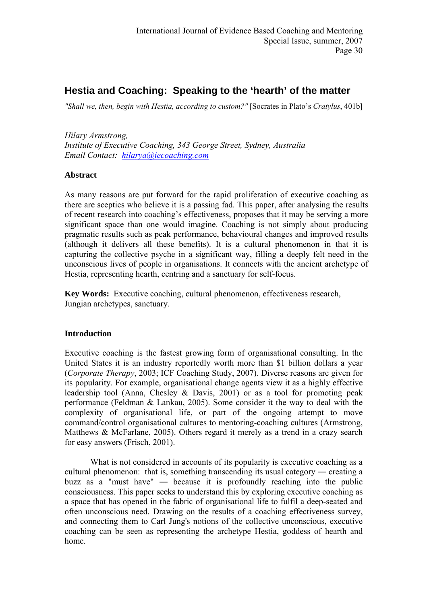# **Hestia and Coaching: Speaking to the 'hearth' of the matter**

*"Shall we, then, begin with Hestia, according to custom?"* [Socrates in Plato's *[Cratylus](http://www.amazon.com/exec/obidos/ASIN/0674991850/carlosparada-20)*, 401b]

*Hilary Armstrong, Institute of Executive Coaching, 343 George Street, Sydney, Australia Email Contact: [hilarya@iecoaching.com](mailto:hilarya@iecoaching.com)* 

## **Abstract**

As many reasons are put forward for the rapid proliferation of executive coaching as there are sceptics who believe it is a passing fad. This paper, after analysing the results of recent research into coaching's effectiveness, proposes that it may be serving a more significant space than one would imagine. Coaching is not simply about producing pragmatic results such as peak performance, behavioural changes and improved results (although it delivers all these benefits). It is a cultural phenomenon in that it is capturing the collective psyche in a significant way, filling a deeply felt need in the unconscious lives of people in organisations. It connects with the ancient archetype of Hestia, representing hearth, centring and a sanctuary for self-focus.

**Key Words:** Executive coaching, cultural phenomenon, effectiveness research, Jungian archetypes, sanctuary.

## **Introduction**

Executive coaching is the fastest growing form of organisational consulting. In the United States it is an industry reportedly worth more than \$1 billion dollars a year (*Corporate Therapy*, 2003; ICF Coaching Study, 2007). Diverse reasons are given for its popularity. For example, organisational change agents view it as a highly effective leadership tool (Anna, Chesley & Davis, 2001) or as a tool for promoting peak performance (Feldman & Lankau, 2005). Some consider it the way to deal with the complexity of organisational life, or part of the ongoing attempt to move command/control organisational cultures to mentoring-coaching cultures (Armstrong, Matthews & McFarlane, 2005). Others regard it merely as a trend in a crazy search for easy answers (Frisch, 2001).

What is not considered in accounts of its popularity is executive coaching as a cultural phenomenon: that is, something transcending its usual category ― creating a buzz as a "must have" ― because it is profoundly reaching into the public consciousness. This paper seeks to understand this by exploring executive coaching as a space that has opened in the fabric of organisational life to fulfil a deep-seated and often unconscious need. Drawing on the results of a coaching effectiveness survey, and connecting them to Carl Jung's notions of the collective unconscious, executive coaching can be seen as representing the archetype Hestia, goddess of hearth and home.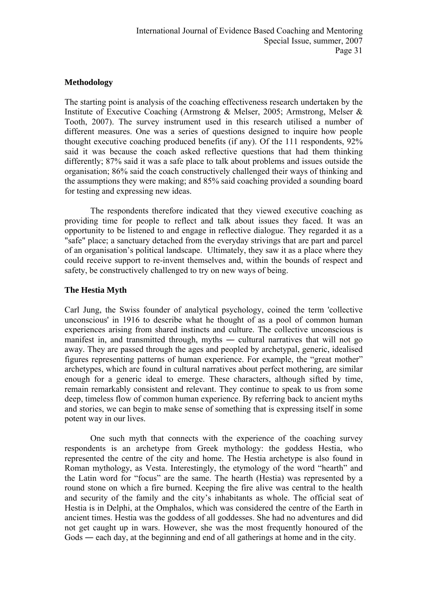## **Methodology**

The starting point is analysis of the coaching effectiveness research undertaken by the Institute of Executive Coaching (Armstrong & Melser, 2005; Armstrong, Melser & Tooth, 2007). The survey instrument used in this research utilised a number of different measures. One was a series of questions designed to inquire how people thought executive coaching produced benefits (if any). Of the 111 respondents, 92% said it was because the coach asked reflective questions that had them thinking differently; 87% said it was a safe place to talk about problems and issues outside the organisation; 86% said the coach constructively challenged their ways of thinking and the assumptions they were making; and 85% said coaching provided a sounding board for testing and expressing new ideas.

The respondents therefore indicated that they viewed executive coaching as providing time for people to reflect and talk about issues they faced. It was an opportunity to be listened to and engage in reflective dialogue. They regarded it as a "safe" place; a sanctuary detached from the everyday strivings that are part and parcel of an organisation's political landscape. Ultimately, they saw it as a place where they could receive support to re-invent themselves and, within the bounds of respect and safety, be constructively challenged to try on new ways of being.

## **The Hestia Myth**

Carl Jung, the Swiss founder of analytical psychology, coined the term 'collective unconscious' in 1916 to describe what he thought of as a pool of common human experiences arising from shared instincts and culture. The collective unconscious is manifest in, and transmitted through, myths ― cultural narratives that will not go away. They are passed through the ages and peopled by archetypal, generic, idealised figures representing patterns of human experience. For example, the "great mother" archetypes, which are found in cultural narratives about perfect mothering, are similar enough for a generic ideal to emerge. These characters, although sifted by time, remain remarkably consistent and relevant. They continue to speak to us from some deep, timeless flow of common human experience. By referring back to ancient myths and stories, we can begin to make sense of something that is expressing itself in some potent way in our lives.

One such myth that connects with the experience of the coaching survey respondents is an archetype from Greek mythology: the goddess Hestia, who represented the centre of the city and home. The Hestia archetype is also found in Roman mythology, as Vesta. Interestingly, the etymology of the word "hearth" and the Latin word for "focus" are the same. The hearth (Hestia) was represented by a round stone on which a fire burned. Keeping the fire alive was central to the health and security of the family and the city's inhabitants as whole. The official seat of Hestia is in Delphi, at the Omphalos, which was considered the centre of the Earth in ancient times. Hestia was the goddess of all goddesses. She had no adventures and did not get caught up in wars. However, she was the most frequently honoured of the Gods ― each day, at the beginning and end of all gatherings at home and in the city.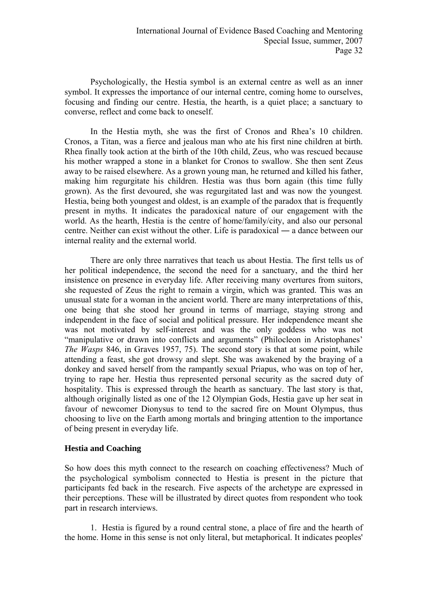Psychologically, the Hestia symbol is an external centre as well as an inner symbol. It expresses the importance of our internal centre, coming home to ourselves, focusing and finding our centre. Hestia, the hearth, is a quiet place; a sanctuary to converse, reflect and come back to oneself.

In the Hestia myth, she was the first of Cronos and Rhea's 10 children. Cronos, a Titan, was a fierce and jealous man who ate his first nine children at birth. Rhea finally took action at the birth of the 10th child, Zeus, who was rescued because his mother wrapped a stone in a blanket for Cronos to swallow. She then sent Zeus away to be raised elsewhere. As a grown young man, he returned and killed his father, making him regurgitate his children. Hestia was thus born again (this time fully grown). As the first devoured, she was regurgitated last and was now the youngest*.*  Hestia, being both youngest and oldest, is an example of the paradox that is frequently present in myths. It indicates the paradoxical nature of our engagement with the world. As the hearth, Hestia is the centre of home/family/city, and also our personal centre. Neither can exist without the other. Life is paradoxical ― a dance between our internal reality and the external world.

There are only three narratives that teach us about Hestia. The first tells us of her political independence, the second the need for a sanctuary, and the third her insistence on presence in everyday life. After receiving many overtures from suitors, she requested of Zeus the right to remain a virgin, which was granted. This was an unusual state for a woman in the ancient world. There are many interpretations of this, one being that she stood her ground in terms of marriage, staying strong and independent in the face of social and political pressure. Her independence meant she was not motivated by self-interest and was the only goddess who was not "manipulative or drawn into conflicts and arguments" (Philocleon in Aristophanes' *The Wasps* 846, in Graves 1957, 75). The second story is that at some point, while attending a feast, she got drowsy and slept. She was awakened by the braying of a donkey and saved herself from the rampantly sexual Priapus, who was on top of her, trying to rape her. Hestia thus represented personal security as the sacred duty of hospitality. This is expressed through the hearth as sanctuary. The last story is that, although originally listed as one of the 12 Olympian Gods, Hestia gave up her seat in favour of newcomer Dionysus to tend to the sacred fire on Mount Olympus, thus choosing to live on the Earth among mortals and bringing attention to the importance of being present in everyday life.

#### **Hestia and Coaching**

So how does this myth connect to the research on coaching effectiveness? Much of the psychological symbolism connected to Hestia is present in the picture that participants fed back in the research. Five aspects of the archetype are expressed in their perceptions. These will be illustrated by direct quotes from respondent who took part in research interviews.

1. Hestia is figured by a round central stone, a place of fire and the hearth of the home. Home in this sense is not only literal, but metaphorical. It indicates peoples'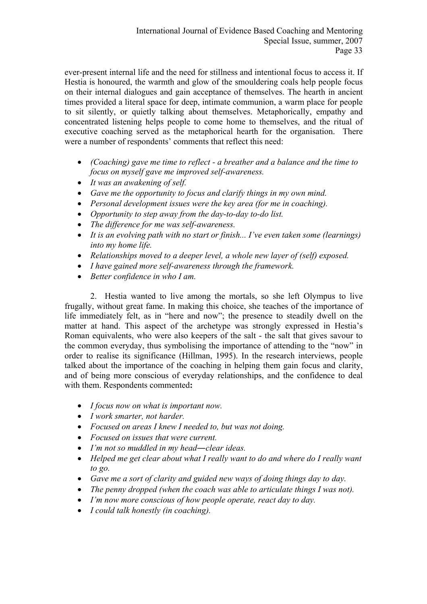ever-present internal life and the need for stillness and intentional focus to access it. If Hestia is honoured, the warmth and glow of the smouldering coals help people focus on their internal dialogues and gain acceptance of themselves. The hearth in ancient times provided a literal space for deep, intimate communion, a warm place for people to sit silently, or quietly talking about themselves. Metaphorically, empathy and concentrated listening helps people to come home to themselves, and the ritual of executive coaching served as the metaphorical hearth for the organisation. There were a number of respondents' comments that reflect this need:

- *(Coaching) gave me time to reflect a breather and a balance and the time to focus on myself gave me improved self-awareness.*
- *It was an awakening of self.*
- *Gave me the opportunity to focus and clarify things in my own mind.*
- *Personal development issues were the key area (for me in coaching).*
- *Opportunity to step away from the day-to-day to-do list.*
- *The difference for me was self-awareness.*
- *It is an evolving path with no start or finish... I've even taken some (learnings) into my home life.*
- *Relationships moved to a deeper level, a whole new layer of (self) exposed.*
- *I have gained more self-awareness through the framework.*
- *Better confidence in who I am.*

2. Hestia wanted to live among the mortals, so she left Olympus to live frugally, without great fame. In making this choice, she teaches of the importance of life immediately felt, as in "here and now"; the presence to steadily dwell on the matter at hand. This aspect of the archetype was strongly expressed in Hestia's Roman equivalents, who were also keepers of the salt - the salt that gives savour to the common everyday, thus symbolising the importance of attending to the "now" in order to realise its significance (Hillman, 1995). In the research interviews, people talked about the importance of the coaching in helping them gain focus and clarity, and of being more conscious of everyday relationships, and the confidence to deal with them. Respondents commented**:** 

- *I focus now on what is important now.*
- *I work smarter, not harder.*
- *Focused on areas I knew I needed to, but was not doing.*
- *Focused on issues that were current.*
- *I'm not so muddled in my head―clear ideas.*
- *Helped me get clear about what I really want to do and where do I really want to go.*
- *Gave me a sort of clarity and guided new ways of doing things day to day.*
- *The penny dropped (when the coach was able to articulate things I was not).*
- *I'm now more conscious of how people operate, react day to day.*
- *I could talk honestly (in coaching).*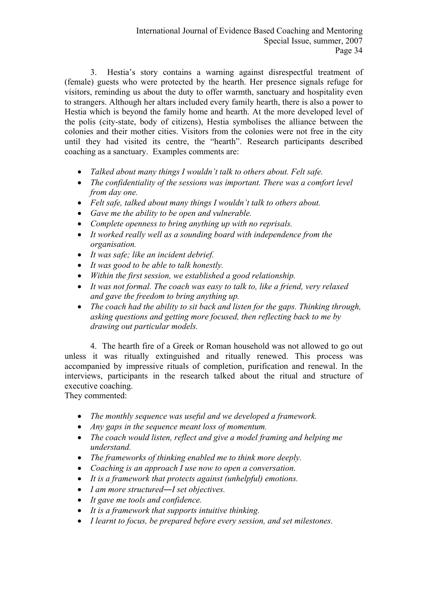3. Hestia's story contains a warning against disrespectful treatment of (female) guests who were protected by the hearth. Her presence signals refuge for visitors, reminding us about the duty to offer warmth, sanctuary and hospitality even to strangers. Although her altars included every family hearth, there is also a power to Hestia which is beyond the family home and hearth. At the more developed level of the polis (city-state, body of citizens), Hestia symbolises the alliance between the colonies and their mother cities. Visitors from the colonies were not free in the city until they had visited its centre, the "hearth". Research participants described coaching as a sanctuary. Examples comments are:

- *Talked about many things I wouldn't talk to others about. Felt safe.*
- *The confidentiality of the sessions was important. There was a comfort level from day one.*
- *Felt safe, talked about many things I wouldn't talk to others about.*
- *Gave me the ability to be open and vulnerable.*
- *Complete openness to bring anything up with no reprisals.*
- *It worked really well as a sounding board with independence from the organisation.*
- *It was safe; like an incident debrief.*
- *It was good to be able to talk honestly.*
- *Within the first session, we established a good relationship.*
- *It was not formal. The coach was easy to talk to, like a friend, very relaxed and gave the freedom to bring anything up.*
- *The coach had the ability to sit back and listen for the gaps. Thinking through, asking questions and getting more focused, then reflecting back to me by drawing out particular models.*

4. The hearth fire of a Greek or Roman household was not allowed to go out unless it was ritually extinguished and ritually renewed. This process was accompanied by impressive rituals of completion, purification and renewal. In the interviews, participants in the research talked about the ritual and structure of executive coaching.

They commented:

- *The monthly sequence was useful and we developed a framework.*
- *Any gaps in the sequence meant loss of momentum.*
- *The coach would listen, reflect and give a model framing and helping me understand.*
- *The frameworks of thinking enabled me to think more deeply.*
- *Coaching is an approach I use now to open a conversation.*
- *It is a framework that protects against (unhelpful) emotions.*
- *I am more structured―I set objectives.*
- *It gave me tools and confidence.*
- *It is a framework that supports intuitive thinking.*
- *I learnt to focus, be prepared before every session, and set milestones.*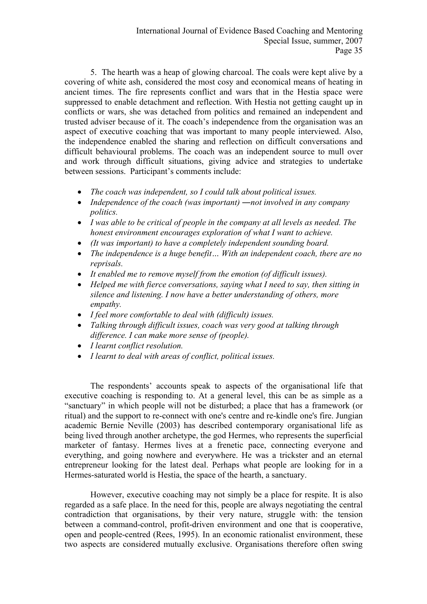5. The hearth was a heap of glowing charcoal. The coals were kept alive by a covering of white ash, considered the most cosy and economical means of heating in ancient times. The fire represents conflict and wars that in the Hestia space were suppressed to enable detachment and reflection. With Hestia not getting caught up in conflicts or wars, she was detached from politics and remained an independent and trusted adviser because of it. The coach's independence from the organisation was an aspect of executive coaching that was important to many people interviewed. Also, the independence enabled the sharing and reflection on difficult conversations and difficult behavioural problems. The coach was an independent source to mull over and work through difficult situations, giving advice and strategies to undertake between sessions. Participant's comments include:

- *The coach was independent, so I could talk about political issues.*
- *Independence of the coach (was important) ―not involved in any company politics.*
- *I was able to be critical of people in the company at all levels as needed. The honest environment encourages exploration of what I want to achieve.*
- *(It was important) to have a completely independent sounding board.*
- *The independence is a huge benefit… With an independent coach, there are no reprisals.*
- *It enabled me to remove myself from the emotion (of difficult issues).*
- *Helped me with fierce conversations, saying what I need to say, then sitting in silence and listening. I now have a better understanding of others, more empathy.*
- *I feel more comfortable to deal with (difficult) issues.*
- *Talking through difficult issues, coach was very good at talking through difference. I can make more sense of (people).*
- *I learnt conflict resolution.*
- *I learnt to deal with areas of conflict, political issues.*

The respondents' accounts speak to aspects of the organisational life that executive coaching is responding to. At a general level, this can be as simple as a "sanctuary" in which people will not be disturbed; a place that has a framework (or ritual) and the support to re-connect with one's centre and re-kindle one's fire. Jungian academic Bernie Neville (2003) has described contemporary organisational life as being lived through another archetype, the god Hermes, who represents the superficial marketer of fantasy. Hermes lives at a frenetic pace, connecting everyone and everything, and going nowhere and everywhere. He was a trickster and an eternal entrepreneur looking for the latest deal. Perhaps what people are looking for in a Hermes-saturated world is Hestia, the space of the hearth, a sanctuary.

However, executive coaching may not simply be a place for respite. It is also regarded as a safe place. In the need for this, people are always negotiating the central contradiction that organisations, by their very nature, struggle with: the tension between a command-control, profit-driven environment and one that is cooperative, open and people-centred (Rees, 1995). In an economic rationalist environment, these two aspects are considered mutually exclusive. Organisations therefore often swing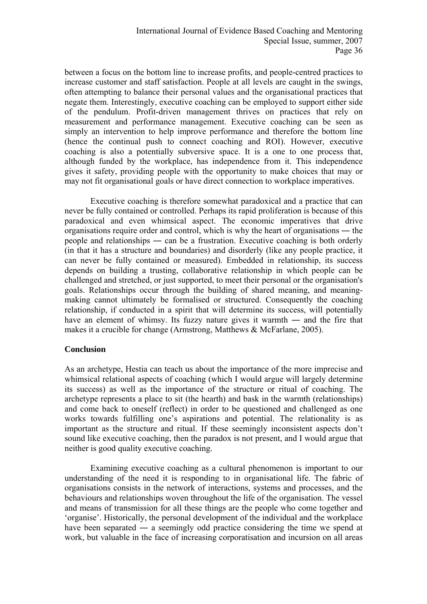between a focus on the bottom line to increase profits, and people-centred practices to increase customer and staff satisfaction. People at all levels are caught in the swings, often attempting to balance their personal values and the organisational practices that negate them. Interestingly, executive coaching can be employed to support either side of the pendulum. Profit-driven management thrives on practices that rely on measurement and performance management. Executive coaching can be seen as simply an intervention to help improve performance and therefore the bottom line (hence the continual push to connect coaching and ROI). However, executive coaching is also a potentially subversive space. It is a one to one process that, although funded by the workplace, has independence from it. This independence gives it safety, providing people with the opportunity to make choices that may or may not fit organisational goals or have direct connection to workplace imperatives.

Executive coaching is therefore somewhat paradoxical and a practice that can never be fully contained or controlled. Perhaps its rapid proliferation is because of this paradoxical and even whimsical aspect. The economic imperatives that drive organisations require order and control, which is why the heart of organisations ― the people and relationships ― can be a frustration. Executive coaching is both orderly (in that it has a structure and boundaries) and disorderly (like any people practice, it can never be fully contained or measured). Embedded in relationship, its success depends on building a trusting, collaborative relationship in which people can be challenged and stretched, or just supported, to meet their personal or the organisation's goals. Relationships occur through the building of shared meaning, and meaningmaking cannot ultimately be formalised or structured. Consequently the coaching relationship, if conducted in a spirit that will determine its success, will potentially have an element of whimsy. Its fuzzy nature gives it warmth — and the fire that makes it a crucible for change (Armstrong, Matthews & McFarlane, 2005).

#### **Conclusion**

As an archetype, Hestia can teach us about the importance of the more imprecise and whimsical relational aspects of coaching (which I would argue will largely determine its success) as well as the importance of the structure or ritual of coaching. The archetype represents a place to sit (the hearth) and bask in the warmth (relationships) and come back to oneself (reflect) in order to be questioned and challenged as one works towards fulfilling one's aspirations and potential. The relationality is as important as the structure and ritual. If these seemingly inconsistent aspects don't sound like executive coaching, then the paradox is not present, and I would argue that neither is good quality executive coaching.

Examining executive coaching as a cultural phenomenon is important to our understanding of the need it is responding to in organisational life. The fabric of organisations consists in the network of interactions, systems and processes, and the behaviours and relationships woven throughout the life of the organisation. The vessel and means of transmission for all these things are the people who come together and 'organise'. Historically, the personal development of the individual and the workplace have been separated — a seemingly odd practice considering the time we spend at work, but valuable in the face of increasing corporatisation and incursion on all areas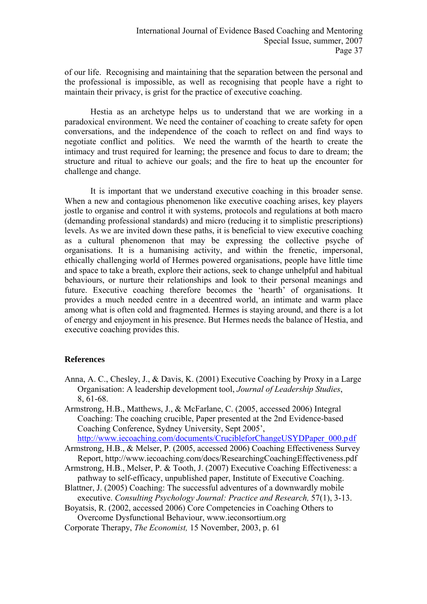of our life. Recognising and maintaining that the separation between the personal and the professional is impossible, as well as recognising that people have a right to maintain their privacy, is grist for the practice of executive coaching.

Hestia as an archetype helps us to understand that we are working in a paradoxical environment. We need the container of coaching to create safety for open conversations, and the independence of the coach to reflect on and find ways to negotiate conflict and politics. We need the warmth of the hearth to create the intimacy and trust required for learning; the presence and focus to dare to dream; the structure and ritual to achieve our goals; and the fire to heat up the encounter for challenge and change.

It is important that we understand executive coaching in this broader sense. When a new and contagious phenomenon like executive coaching arises, key players jostle to organise and control it with systems, protocols and regulations at both macro (demanding professional standards) and micro (reducing it to simplistic prescriptions) levels. As we are invited down these paths, it is beneficial to view executive coaching as a cultural phenomenon that may be expressing the collective psyche of organisations. It is a humanising activity, and within the frenetic, impersonal, ethically challenging world of Hermes powered organisations, people have little time and space to take a breath, explore their actions, seek to change unhelpful and habitual behaviours, or nurture their relationships and look to their personal meanings and future. Executive coaching therefore becomes the 'hearth' of organisations. It provides a much needed centre in a decentred world, an intimate and warm place among what is often cold and fragmented. Hermes is staying around, and there is a lot of energy and enjoyment in his presence. But Hermes needs the balance of Hestia, and executive coaching provides this.

#### **References**

- Anna, A. C., Chesley, J., & Davis, K. (2001) Executive Coaching by Proxy in a Large Organisation: A leadership development tool, *Journal of Leadership Studies*, 8, 61-68.
- Armstrong, H.B., Matthews, J., & McFarlane, C. (2005, accessed 2006) Integral Coaching: The coaching crucible, Paper presented at the 2nd Evidence-based Coaching Conference, Sydney University, Sept 2005',

http://www.jecoaching.com/documents/CrucibleforChangeUSYDPaper\_000.pdf

- Armstrong, H.B., & Melser, P. (2005, accessed 2006) Coaching Effectiveness Survey Report, <http://www.iecoaching.com/docs/ResearchingCoachingEffectiveness.pdf>
- Armstrong, H.B., Melser, P. & Tooth, J. (2007) Executive Coaching Effectiveness: a pathway to self-efficacy, unpublished paper, Institute of Executive Coaching.
- Blattner, J. (2005) Coaching: The successful adventures of a downwardly mobile executive. *Consulting Psychology Journal: Practice and Research, 57(1), 3-13.*
- Boyatsis, R. (2002, accessed 2006) Core Competencies in Coaching Others to Overcome Dysfunctional Behaviour, [www.ieconsortium.org](http://www.ieconsortium.org/)
- Corporate Therapy, *The Economist,* 15 November, 2003, p. 61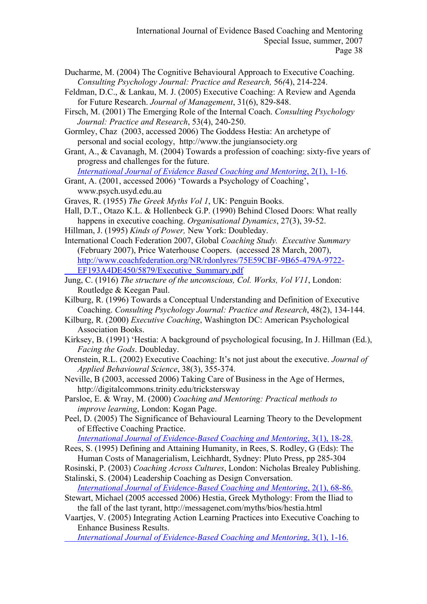- Ducharme, M. (2004) The Cognitive Behavioural Approach to Executive Coaching. *Consulting Psychology Journal: Practice and Research,* 56*(*4), 214-224.
- Feldman, D.C., & Lankau, M. J. (2005) Executive Coaching: A Review and Agenda for Future Research. *Journal of Management*, 31(6), 829-848.
- Firsch, M. (2001) The Emerging Role of the Internal Coach. *Consulting Psychology Journal: Practice and Research*, 53(4), 240-250.
- Gormley, Chaz (2003, accessed 2006) The Goddess Hestia: An archetype of personal and social ecology, http://www.the jungiansociety.org
- Grant, A., & Cavanagh, M. (2004) Towards a profession of coaching: sixty-five years of progress and challenges for the future.

*[International Journal of Evidence Based Coaching and Mentoring](http://www.brookes.ac.uk/schools/education/ijebcm/vol2-no1-contents.html)*, 2(1), 1-16.

Grant, A. (2001, accessed 2006) 'Towards a Psychology of Coaching', [www.psych.usyd.edu.au](http://www.psych.usyd.edu.au/)

Graves, R. (1955) *The Greek Myths Vol 1*, UK: Penguin Books.

- Hall, D.T., Otazo K.L. & Hollenbeck G.P. (1990) Behind Closed Doors: What really happens in executive coaching. *Organisational Dynamics*, 27(3), 39-52.
- Hillman, J. (1995) *Kinds of Power,* New York: Doubleday.
- International Coach Federation 2007, Global *Coaching Study. Executive Summary* (February 2007), Price Waterhouse Coopers. (accessed 28 March, 2007), [http://www.coachfederation.org/NR/rdonlyres/75E59CBF-9B65-479A-9722-](http://www.coachfederation.org/NR/rdonlyres/75E59CBF-9B65-479A-9722-EF193A4DE450/5879/Executive_Summary.pdf) EF193A4DE450/5879/Executive\_Summary.pdf
- Jung, C. (1916) *The structure of the unconscious, Col. Works, Vol V11*, London: Routledge & Keegan Paul.
- Kilburg, R. (1996) Towards a Conceptual Understanding and Definition of Executive Coaching. *Consulting Psychology Journal: Practice and Research*, 48(2), 134-144.
- Kilburg, R. (2000) *Executive Coaching*, Washington DC: American Psychological Association Books.
- Kirksey, B. (1991) 'Hestia: A background of psychological focusing, In J. Hillman (Ed.), *Facing the Gods*. Doubleday.
- Orenstein, R.L. (2002) Executive Coaching: It's not just about the executive. *Journal of Applied Behavioural Science*, 38(3), 355-374.
- Neville, B (2003, accessed 2006) Taking Care of Business in the Age of Hermes, <http://digitalcommons.trinity.edu/trickstersway>
- Parsloe, E. & Wray, M. (2000) *Coaching and Mentoring: Practical methods to improve learning*, London: Kogan Page.

Peel, D. (2005) The Significance of Behavioural Learning Theory to the Development of Effective Coaching Practice.

*[International Journal of Evidence-Based Coaching and Mentoring](http://www.brookes.ac.uk/schools/education/ijebcm/vol3-1-contents.html)*, 3(1), 18-28.

- Rees, S. (1995) Defining and Attaining Humanity, in Rees, S. Rodley, G (Eds): The Human Costs of Managerialism, Leichhardt, Sydney: Pluto Press, pp 285-304
- Rosinski, P. (2003) *Coaching Across Cultures*, London: Nicholas Brealey Publishing. Stalinski, S. (2004) Leadership Coaching as Design Conversation.

*[International Journal of Evidence-Based Coaching and Mentoring](http://www.brookes.ac.uk/schools/education/ijebcm/vol2-no1-contents.html)*, 2(1), 68-86.

- Stewart, Michael (2005 accessed 2006) Hestia, Greek Mythology: From the Iliad to the fall of the last tyrant, <http://messagenet.com/myths/bios/hestia.html>
- Vaartjes, V. (2005) Integrating Action Learning Practices into Executive Coaching to Enhance Business Results.

*[International Journal of Evidence-Based Coaching and Mentorin](http://www.brookes.ac.uk/schools/education/ijebcm/vol3-1-contents.html)*g, 3(1), 1-16.